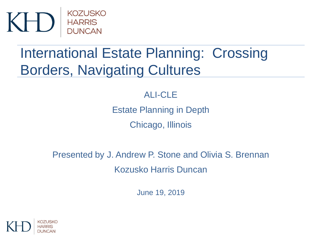

# International Estate Planning: Crossing Borders, Navigating Cultures

#### ALI-CLE

Estate Planning in Depth

Chicago, Illinois

Presented by J. Andrew P. Stone and Olivia S. Brennan Kozusko Harris Duncan

June 19, 2019

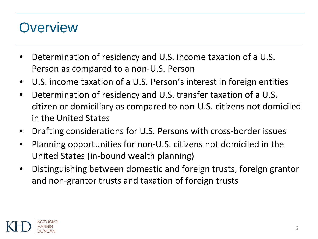### **Overview**

- Determination of residency and U.S. income taxation of a U.S. Person as compared to a non-U.S. Person
- U.S. income taxation of a U.S. Person's interest in foreign entities
- Determination of residency and U.S. transfer taxation of a U.S. citizen or domiciliary as compared to non-U.S. citizens not domiciled in the United States
- Drafting considerations for U.S. Persons with cross-border issues
- Planning opportunities for non-U.S. citizens not domiciled in the United States (in-bound wealth planning)
- Distinguishing between domestic and foreign trusts, foreign grantor and non-grantor trusts and taxation of foreign trusts

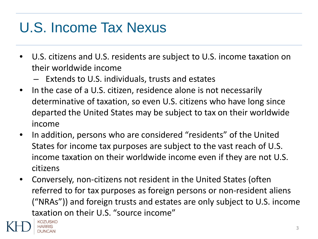# U.S. Income Tax Nexus

- U.S. citizens and U.S. residents are subject to U.S. income taxation on their worldwide income
	- Extends to U.S. individuals, trusts and estates
- In the case of a U.S. citizen, residence alone is not necessarily determinative of taxation, so even U.S. citizens who have long since departed the United States may be subject to tax on their worldwide income
- In addition, persons who are considered "residents" of the United States for income tax purposes are subject to the vast reach of U.S. income taxation on their worldwide income even if they are not U.S. citizens
- Conversely, non-citizens not resident in the United States (often referred to for tax purposes as foreign persons or non-resident aliens ("NRAs")) and foreign trusts and estates are only subject to U.S. income taxation on their U.S. "source income"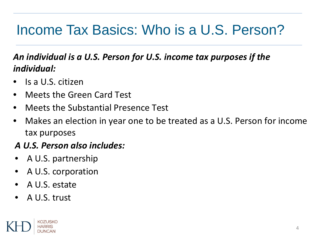### Income Tax Basics: Who is a U.S. Person?

#### *An individual is a U.S. Person for U.S. income tax purposes if the individual:*

- Is a U.S. citizen
- Meets the Green Card Test
- Meets the Substantial Presence Test
- Makes an election in year one to be treated as a U.S. Person for income tax purposes

#### *A U.S. Person also includes:*

- A U.S. partnership
- A U.S. corporation
- A U.S. estate
- A U.S. trust

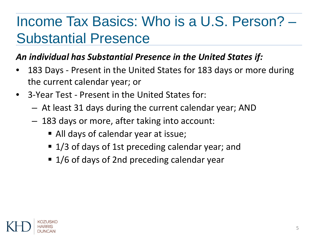# Income Tax Basics: Who is a U.S. Person? – Substantial Presence

### *An individual has Substantial Presence in the United States if:*

- 183 Days Present in the United States for 183 days or more during the current calendar year; or
- 3-Year Test Present in the United States for:
	- At least 31 days during the current calendar year; AND
	- 183 days or more, after taking into account:
		- All days of calendar year at issue;
		- 1/3 of days of 1st preceding calendar year; and
		- 1/6 of days of 2nd preceding calendar year

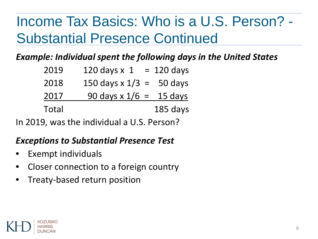# Income Tax Basics: Who is a U.S. Person? - Substantial Presence Continued

*Example: Individual spent the following days in the United States*

| 2019  | 120 days $x$ 1             | $= 120$ days |
|-------|----------------------------|--------------|
| 2018  | 150 days $x 1/3 = 50$ days |              |
| 2017  | 90 days x $1/6 =$          | 15 days      |
| Total |                            | 185 days     |

In 2019, was the individual a U.S. Person?

#### *Exceptions to Substantial Presence Test*

- Exempt individuals
- Closer connection to a foreign country
- Treaty-based return position

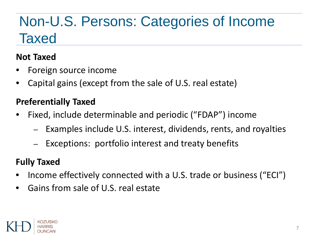# Non-U.S. Persons: Categories of Income **Taxed**

### **Not Taxed**

- Foreign source income
- Capital gains (except from the sale of U.S. real estate)

### **Preferentially Taxed**

- Fixed, include determinable and periodic ("FDAP") income
	- Examples include U.S. interest, dividends, rents, and royalties
	- Exceptions: portfolio interest and treaty benefits

#### **Fully Taxed**

- Income effectively connected with a U.S. trade or business ("ECI")
- Gains from sale of U.S. real estate

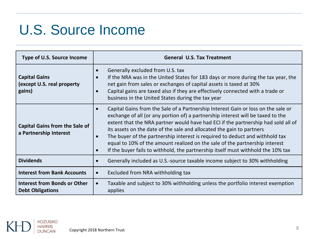## U.S. Source Income

| Type of U.S. Source Income                                      | <b>General U.S. Tax Treatment</b>                                                                                                                                                                                                                                                                                                                                                                                                                                                                                                                                                                                            |  |  |
|-----------------------------------------------------------------|------------------------------------------------------------------------------------------------------------------------------------------------------------------------------------------------------------------------------------------------------------------------------------------------------------------------------------------------------------------------------------------------------------------------------------------------------------------------------------------------------------------------------------------------------------------------------------------------------------------------------|--|--|
| <b>Capital Gains</b><br>(except U.S. real property<br>gains)    | Generally excluded from U.S. tax<br>$\bullet$<br>If the NRA was in the United States for 183 days or more during the tax year, the<br>$\bullet$<br>net gain from sales or exchanges of capital assets is taxed at 30%<br>Capital gains are taxed also if they are effectively connected with a trade or<br>$\bullet$<br>business in the United States during the tax year                                                                                                                                                                                                                                                    |  |  |
| <b>Capital Gains from the Sale of</b><br>a Partnership Interest | Capital Gains from the Sale of a Partnership Interest Gain or loss on the sale or<br>$\bullet$<br>exchange of all (or any portion of) a partnership interest will be taxed to the<br>extent that the NRA partner would have had ECI if the partnership had sold all of<br>its assets on the date of the sale and allocated the gain to partners<br>The buyer of the partnership interest is required to deduct and withhold tax<br>$\bullet$<br>equal to 10% of the amount realized on the sale of the partnership interest<br>If the buyer fails to withhold, the partnership itself must withhold the 10% tax<br>$\bullet$ |  |  |
| <b>Dividends</b>                                                | Generally included as U.S.-source taxable income subject to 30% withholding<br>$\bullet$                                                                                                                                                                                                                                                                                                                                                                                                                                                                                                                                     |  |  |
| <b>Interest from Bank Accounts</b>                              | Excluded from NRA withholding tax<br>$\bullet$                                                                                                                                                                                                                                                                                                                                                                                                                                                                                                                                                                               |  |  |
| <b>Interest from Bonds or Other</b><br><b>Debt Obligations</b>  | Taxable and subject to 30% withholding unless the portfolio interest exemption<br>$\bullet$<br>applies                                                                                                                                                                                                                                                                                                                                                                                                                                                                                                                       |  |  |

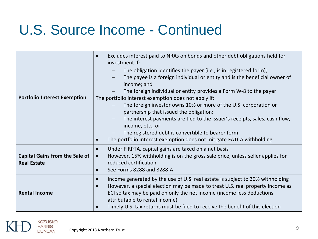# U.S. Source Income - Continued

| <b>Portfolio Interest Exemption</b>                         | Excludes interest paid to NRAs on bonds and other debt obligations held for<br>$\bullet$<br>investment if:<br>The obligation identifies the payer (i.e., is in registered form);<br>The payee is a foreign individual or entity and is the beneficial owner of<br>income; and<br>The foreign individual or entity provides a Form W-8 to the payer<br>The portfolio interest exemption does not apply if:<br>The foreign investor owns 10% or more of the U.S. corporation or<br>partnership that issued the obligation;<br>The interest payments are tied to the issuer's receipts, sales, cash flow,<br>$\qquad \qquad -$<br>income, etc.; or<br>The registered debt is convertible to bearer form<br>The portfolio interest exemption does not mitigate FATCA withholding<br>$\bullet$ |  |
|-------------------------------------------------------------|-------------------------------------------------------------------------------------------------------------------------------------------------------------------------------------------------------------------------------------------------------------------------------------------------------------------------------------------------------------------------------------------------------------------------------------------------------------------------------------------------------------------------------------------------------------------------------------------------------------------------------------------------------------------------------------------------------------------------------------------------------------------------------------------|--|
| <b>Capital Gains from the Sale of</b><br><b>Real Estate</b> | Under FIRPTA, capital gains are taxed on a net basis<br>$\bullet$<br>However, 15% withholding is on the gross sale price, unless seller applies for<br>$\bullet$<br>reduced certification<br>See Forms 8288 and 8288-A<br>$\bullet$                                                                                                                                                                                                                                                                                                                                                                                                                                                                                                                                                       |  |
| <b>Rental Income</b>                                        | Income generated by the use of U.S. real estate is subject to 30% withholding<br>$\bullet$<br>However, a special election may be made to treat U.S. real property income as<br>$\bullet$<br>ECI so tax may be paid on only the net income (income less deductions<br>attributable to rental income)<br>Timely U.S. tax returns must be filed to receive the benefit of this election<br>$\bullet$                                                                                                                                                                                                                                                                                                                                                                                         |  |

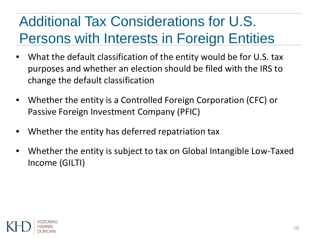# Additional Tax Considerations for U.S. Persons with Interests in Foreign Entities

- What the default classification of the entity would be for U.S. tax purposes and whether an election should be filed with the IRS to change the default classification
- Whether the entity is a Controlled Foreign Corporation (CFC) or Passive Foreign Investment Company (PFIC)
- Whether the entity has deferred repatriation tax
- Whether the entity is subject to tax on Global Intangible Low-Taxed Income (GILTI)

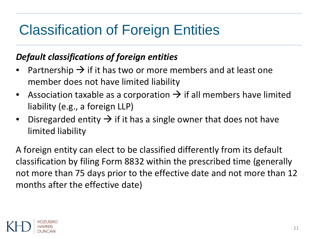# Classification of Foreign Entities

#### *Default classifications of foreign entities*

- Partnership  $\rightarrow$  if it has two or more members and at least one member does not have limited liability
- Association taxable as a corporation  $\rightarrow$  if all members have limited liability (e.g., a foreign LLP)
- Disregarded entity  $\rightarrow$  if it has a single owner that does not have limited liability

A foreign entity can elect to be classified differently from its default classification by filing Form 8832 within the prescribed time (generally not more than 75 days prior to the effective date and not more than 12 months after the effective date)

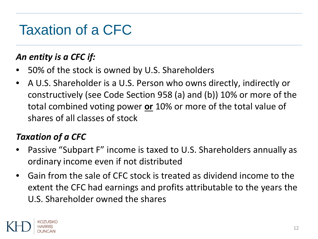## Taxation of a CFC

### *An entity is a CFC if:*

- 50% of the stock is owned by U.S. Shareholders
- A U.S. Shareholder is a U.S. Person who owns directly, indirectly or constructively (see Code Section 958 (a) and (b)) 10% or more of the total combined voting power **or** 10% or more of the total value of shares of all classes of stock

### *Taxation of a CFC*

- Passive "Subpart F" income is taxed to U.S. Shareholders annually as ordinary income even if not distributed
- Gain from the sale of CFC stock is treated as dividend income to the extent the CFC had earnings and profits attributable to the years the U.S. Shareholder owned the shares

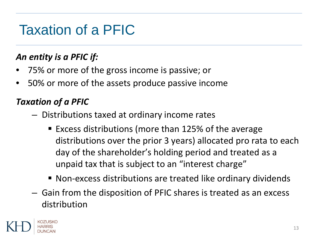## Taxation of a PFIC

### *An entity is a PFIC if:*

- 75% or more of the gross income is passive; or
- 50% or more of the assets produce passive income

### *Taxation of a PFIC*

- Distributions taxed at ordinary income rates
	- Excess distributions (more than 125% of the average distributions over the prior 3 years) allocated pro rata to each day of the shareholder's holding period and treated as a unpaid tax that is subject to an "interest charge"
	- Non-excess distributions are treated like ordinary dividends
- Gain from the disposition of PFIC shares is treated as an excess distribution

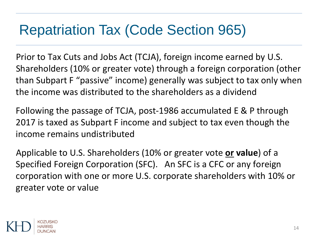### Repatriation Tax (Code Section 965)

Prior to Tax Cuts and Jobs Act (TCJA), foreign income earned by U.S. Shareholders (10% or greater vote) through a foreign corporation (other than Subpart F "passive" income) generally was subject to tax only when the income was distributed to the shareholders as a dividend

Following the passage of TCJA, post-1986 accumulated E & P through 2017 is taxed as Subpart F income and subject to tax even though the income remains undistributed

Applicable to U.S. Shareholders (10% or greater vote **or value**) of a Specified Foreign Corporation (SFC). An SFC is a CFC or any foreign corporation with one or more U.S. corporate shareholders with 10% or greater vote or value

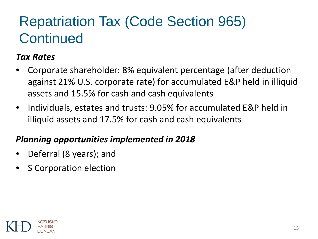# Repatriation Tax (Code Section 965) **Continued**

#### *Tax Rates*

- Corporate shareholder: 8% equivalent percentage (after deduction against 21% U.S. corporate rate) for accumulated E&P held in illiquid assets and 15.5% for cash and cash equivalents
- Individuals, estates and trusts: 9.05% for accumulated E&P held in illiquid assets and 17.5% for cash and cash equivalents

#### *Planning opportunities implemented in 2018*

- Deferral (8 years); and
- **S Corporation election**

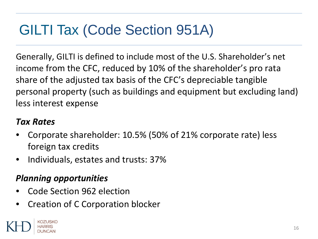# GILTI Tax (Code Section 951A)

Generally, GILTI is defined to include most of the U.S. Shareholder's net income from the CFC, reduced by 10% of the shareholder's pro rata share of the adjusted tax basis of the CFC's depreciable tangible personal property (such as buildings and equipment but excluding land) less interest expense

#### *Tax Rates*

- Corporate shareholder: 10.5% (50% of 21% corporate rate) less foreign tax credits
- Individuals, estates and trusts: 37%

#### *Planning opportunities*

- Code Section 962 election
- Creation of C Corporation blocker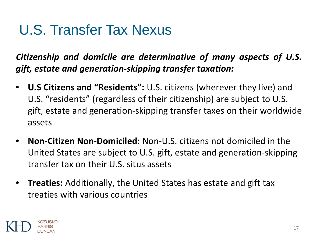### U.S. Transfer Tax Nexus

*Citizenship and domicile are determinative of many aspects of U.S. gift, estate and generation-skipping transfer taxation:*

- **U.S Citizens and "Residents":** U.S. citizens (wherever they live) and U.S. "residents" (regardless of their citizenship) are subject to U.S. gift, estate and generation-skipping transfer taxes on their worldwide assets
- **Non-Citizen Non-Domiciled:** Non-U.S. citizens not domiciled in the United States are subject to U.S. gift, estate and generation-skipping transfer tax on their U.S. situs assets
- **Treaties:** Additionally, the United States has estate and gift tax treaties with various countries

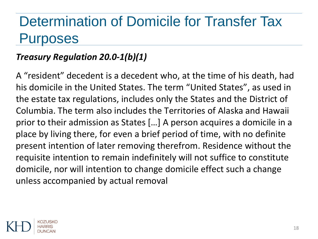### Determination of Domicile for Transfer Tax Purposes

### *Treasury Regulation 20.0-1(b)(1)*

A "resident" decedent is a decedent who, at the time of his death, had his domicile in the United States. The term "United States", as used in the estate tax regulations, includes only the States and the District of Columbia. The term also includes the Territories of Alaska and Hawaii prior to their admission as States […] A person acquires a domicile in a place by living there, for even a brief period of time, with no definite present intention of later removing therefrom. Residence without the requisite intention to remain indefinitely will not suffice to constitute domicile, nor will intention to change domicile effect such a change unless accompanied by actual removal

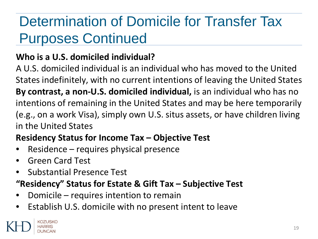# Determination of Domicile for Transfer Tax Purposes Continued

### **Who is a U.S. domiciled individual?**

A U.S. domiciled individual is an individual who has moved to the United States indefinitely, with no current intentions of leaving the United States **By contrast, a non-U.S. domiciled individual,** is an individual who has no intentions of remaining in the United States and may be here temporarily (e.g., on a work Visa), simply own U.S. situs assets, or have children living in the United States

### **Residency Status for Income Tax – Objective Test**

- Residence requires physical presence
- Green Card Test
- Substantial Presence Test

### **"Residency" Status for Estate & Gift Tax – Subjective Test**

- Domicile requires intention to remain
- Establish U.S. domicile with no present intent to leave

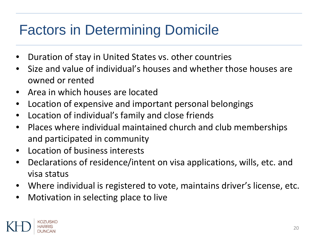# Factors in Determining Domicile

- Duration of stay in United States vs. other countries
- Size and value of individual's houses and whether those houses are owned or rented
- Area in which houses are located
- Location of expensive and important personal belongings
- Location of individual's family and close friends
- Places where individual maintained church and club memberships and participated in community
- Location of business interests
- Declarations of residence/intent on visa applications, wills, etc. and visa status
- Where individual is registered to vote, maintains driver's license, etc.
- Motivation in selecting place to live

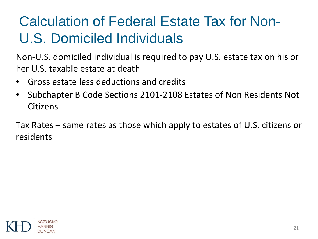# Calculation of Federal Estate Tax for Non-U.S. Domiciled Individuals

Non-U.S. domiciled individual is required to pay U.S. estate tax on his or her U.S. taxable estate at death

- Gross estate less deductions and credits
- Subchapter B Code Sections 2101-2108 Estates of Non Residents Not Citizens

Tax Rates – same rates as those which apply to estates of U.S. citizens or residents

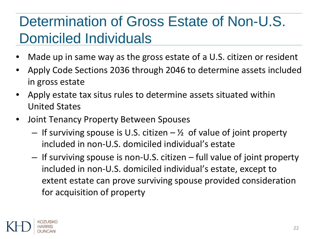# Determination of Gross Estate of Non-U.S. Domiciled Individuals

- Made up in same way as the gross estate of a U.S. citizen or resident
- Apply Code Sections 2036 through 2046 to determine assets included in gross estate
- Apply estate tax situs rules to determine assets situated within United States
- Joint Tenancy Property Between Spouses
	- $-$  If surviving spouse is U.S. citizen  $-$  % of value of joint property included in non-U.S. domiciled individual's estate
	- If surviving spouse is non-U.S. citizen full value of joint property included in non-U.S. domiciled individual's estate, except to extent estate can prove surviving spouse provided consideration for acquisition of property

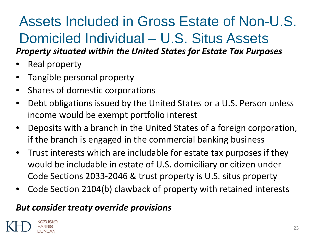# Assets Included in Gross Estate of Non-U.S. Domiciled Individual – U.S. Situs Assets

#### *Property situated within the United States for Estate Tax Purposes*

- Real property
- Tangible personal property
- Shares of domestic corporations
- Debt obligations issued by the United States or a U.S. Person unless income would be exempt portfolio interest
- Deposits with a branch in the United States of a foreign corporation, if the branch is engaged in the commercial banking business
- Trust interests which are includable for estate tax purposes if they would be includable in estate of U.S. domiciliary or citizen under Code Sections 2033-2046 & trust property is U.S. situs property
- Code Section 2104(b) clawback of property with retained interests

#### *But consider treaty override provisions*

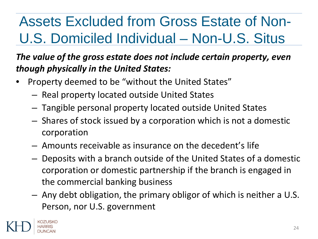# Assets Excluded from Gross Estate of Non-U.S. Domiciled Individual – Non-U.S. Situs

### *The value of the gross estate does not include certain property, even though physically in the United States:*

- Property deemed to be "without the United States"
	- Real property located outside United States
	- Tangible personal property located outside United States
	- Shares of stock issued by a corporation which is not a domestic corporation
	- Amounts receivable as insurance on the decedent's life
	- Deposits with a branch outside of the United States of a domestic corporation or domestic partnership if the branch is engaged in the commercial banking business
	- Any debt obligation, the primary obligor of which is neither a U.S. Person, nor U.S. government

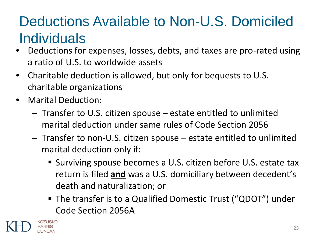# Deductions Available to Non-U.S. Domiciled **Individuals**

- Deductions for expenses, losses, debts, and taxes are pro-rated using a ratio of U.S. to worldwide assets
- Charitable deduction is allowed, but only for bequests to U.S. charitable organizations
- Marital Deduction:
	- Transfer to U.S. citizen spouse estate entitled to unlimited marital deduction under same rules of Code Section 2056
	- Transfer to non-U.S. citizen spouse estate entitled to unlimited marital deduction only if:
		- Surviving spouse becomes a U.S. citizen before U.S. estate tax return is filed **and** was a U.S. domiciliary between decedent's death and naturalization; or
		- The transfer is to a Qualified Domestic Trust ("QDOT") under Code Section 2056A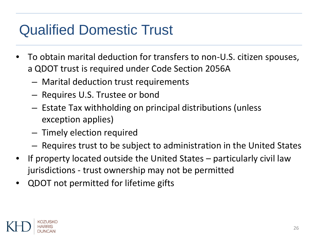# Qualified Domestic Trust

- To obtain marital deduction for transfers to non-U.S. citizen spouses, a QDOT trust is required under Code Section 2056A
	- Marital deduction trust requirements
	- Requires U.S. Trustee or bond
	- Estate Tax withholding on principal distributions (unless exception applies)
	- Timely election required
	- Requires trust to be subject to administration in the United States
- If property located outside the United States particularly civil law jurisdictions - trust ownership may not be permitted
- QDOT not permitted for lifetime gifts

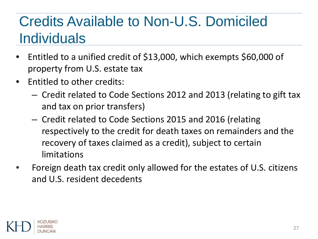# Credits Available to Non-U.S. Domiciled **Individuals**

- Entitled to a unified credit of \$13,000, which exempts \$60,000 of property from U.S. estate tax
- Entitled to other credits:
	- Credit related to Code Sections 2012 and 2013 (relating to gift tax and tax on prior transfers)
	- Credit related to Code Sections 2015 and 2016 (relating respectively to the credit for death taxes on remainders and the recovery of taxes claimed as a credit), subject to certain limitations
- Foreign death tax credit only allowed for the estates of U.S. citizens and U.S. resident decedents

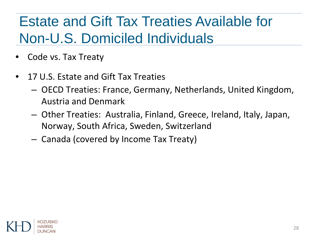# Estate and Gift Tax Treaties Available for Non-U.S. Domiciled Individuals

- Code vs. Tax Treaty
- 17 U.S. Estate and Gift Tax Treaties
	- OECD Treaties: France, Germany, Netherlands, United Kingdom, Austria and Denmark
	- Other Treaties: Australia, Finland, Greece, Ireland, Italy, Japan, Norway, South Africa, Sweden, Switzerland
	- Canada (covered by Income Tax Treaty)

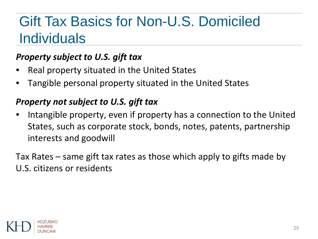### Gift Tax Basics for Non-U.S. Domiciled **Individuals**

#### *Property subject to U.S. gift tax*

- Real property situated in the United States
- Tangible personal property situated in the United States

#### *Property not subject to U.S. gift tax*

• Intangible property, even if property has a connection to the United States, such as corporate stock, bonds, notes, patents, partnership interests and goodwill

Tax Rates – same gift tax rates as those which apply to gifts made by U.S. citizens or residents

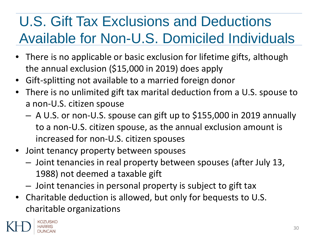# U.S. Gift Tax Exclusions and Deductions Available for Non-U.S. Domiciled Individuals

- There is no applicable or basic exclusion for lifetime gifts, although the annual exclusion (\$15,000 in 2019) does apply
- Gift-splitting not available to a married foreign donor
- There is no unlimited gift tax marital deduction from a U.S. spouse to a non-U.S. citizen spouse
	- A U.S. or non-U.S. spouse can gift up to \$155,000 in 2019 annually to a non-U.S. citizen spouse, as the annual exclusion amount is increased for non-U.S. citizen spouses
- Joint tenancy property between spouses
	- Joint tenancies in real property between spouses (after July 13, 1988) not deemed a taxable gift
	- Joint tenancies in personal property is subject to gift tax
- Charitable deduction is allowed, but only for bequests to U.S. charitable organizations

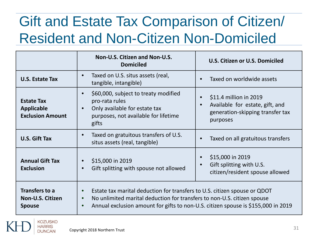# Gift and Estate Tax Comparison of Citizen/ Resident and Non-Citizen Non-Domiciled

|                                                                   | Non-U.S. Citizen and Non-U.S.<br><b>Domiciled</b>                                                                                                                                                                                                                   | U.S. Citizen or U.S. Domiciled                                                                                                      |
|-------------------------------------------------------------------|---------------------------------------------------------------------------------------------------------------------------------------------------------------------------------------------------------------------------------------------------------------------|-------------------------------------------------------------------------------------------------------------------------------------|
| <b>U.S. Estate Tax</b>                                            | Taxed on U.S. situs assets (real,<br>$\bullet$<br>tangible, intangible)                                                                                                                                                                                             | Taxed on worldwide assets<br>$\bullet$                                                                                              |
| <b>Estate Tax</b><br><b>Applicable</b><br><b>Exclusion Amount</b> | \$60,000, subject to treaty modified<br>$\bullet$<br>pro-rata rules<br>Only available for estate tax<br>$\bullet$<br>purposes, not available for lifetime<br>gifts                                                                                                  | \$11.4 million in 2019<br>$\bullet$<br>Available for estate, gift, and<br>$\bullet$<br>generation-skipping transfer tax<br>purposes |
| <b>U.S. Gift Tax</b>                                              | Taxed on gratuitous transfers of U.S.<br>$\bullet$<br>situs assets (real, tangible)                                                                                                                                                                                 | Taxed on all gratuitous transfers<br>$\bullet$                                                                                      |
| <b>Annual Gift Tax</b><br><b>Exclusion</b>                        | \$15,000 in 2019<br>Gift splitting with spouse not allowed                                                                                                                                                                                                          | \$15,000 in 2019<br>$\bullet$<br>Gift splitting with U.S.<br>$\bullet$<br>citizen/resident spouse allowed                           |
| Transfers to a<br>Non-U.S. Citizen<br><b>Spouse</b>               | Estate tax marital deduction for transfers to U.S. citizen spouse or QDOT<br>$\bullet$<br>No unlimited marital deduction for transfers to non-U.S. citizen spouse<br>$\bullet$<br>Annual exclusion amount for gifts to non-U.S. citizen spouse is \$155,000 in 2019 |                                                                                                                                     |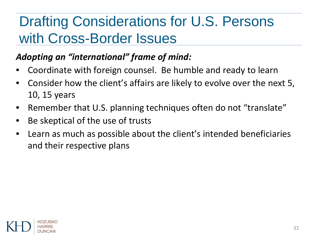# Drafting Considerations for U.S. Persons with Cross-Border Issues

### *Adopting an "international" frame of mind:*

- Coordinate with foreign counsel. Be humble and ready to learn
- Consider how the client's affairs are likely to evolve over the next 5, 10, 15 years
- Remember that U.S. planning techniques often do not "translate"
- Be skeptical of the use of trusts
- Learn as much as possible about the client's intended beneficiaries and their respective plans

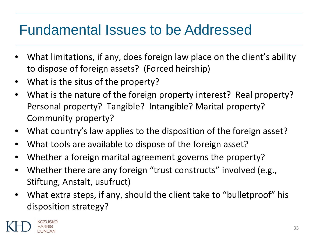### Fundamental Issues to be Addressed

- What limitations, if any, does foreign law place on the client's ability to dispose of foreign assets? (Forced heirship)
- What is the situs of the property?
- What is the nature of the foreign property interest? Real property? Personal property? Tangible? Intangible? Marital property? Community property?
- What country's law applies to the disposition of the foreign asset?
- What tools are available to dispose of the foreign asset?
- Whether a foreign marital agreement governs the property?
- Whether there are any foreign "trust constructs" involved (e.g., Stiftung, Anstalt, usufruct)
- What extra steps, if any, should the client take to "bulletproof" his disposition strategy?

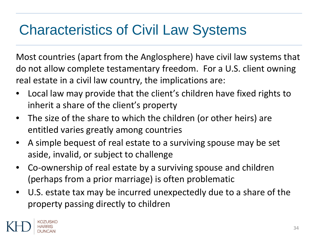### Characteristics of Civil Law Systems

Most countries (apart from the Anglosphere) have civil law systems that do not allow complete testamentary freedom. For a U.S. client owning real estate in a civil law country, the implications are:

- Local law may provide that the client's children have fixed rights to inherit a share of the client's property
- The size of the share to which the children (or other heirs) are entitled varies greatly among countries
- A simple bequest of real estate to a surviving spouse may be set aside, invalid, or subject to challenge
- Co-ownership of real estate by a surviving spouse and children (perhaps from a prior marriage) is often problematic
- U.S. estate tax may be incurred unexpectedly due to a share of the property passing directly to children

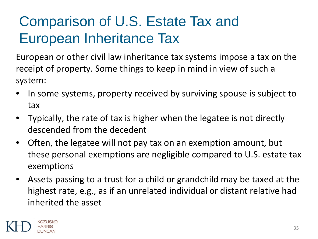# Comparison of U.S. Estate Tax and European Inheritance Tax

European or other civil law inheritance tax systems impose a tax on the receipt of property. Some things to keep in mind in view of such a system:

- In some systems, property received by surviving spouse is subject to tax
- Typically, the rate of tax is higher when the legatee is not directly descended from the decedent
- Often, the legatee will not pay tax on an exemption amount, but these personal exemptions are negligible compared to U.S. estate tax exemptions
- Assets passing to a trust for a child or grandchild may be taxed at the highest rate, e.g., as if an unrelated individual or distant relative had inherited the asset

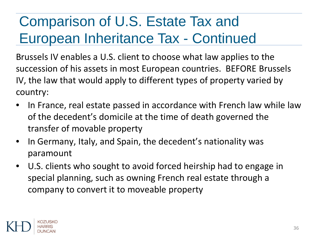# Comparison of U.S. Estate Tax and European Inheritance Tax - Continued

Brussels IV enables a U.S. client to choose what law applies to the succession of his assets in most European countries. BEFORE Brussels IV, the law that would apply to different types of property varied by country:

- In France, real estate passed in accordance with French law while law of the decedent's domicile at the time of death governed the transfer of movable property
- In Germany, Italy, and Spain, the decedent's nationality was paramount
- U.S. clients who sought to avoid forced heirship had to engage in special planning, such as owning French real estate through a company to convert it to moveable property

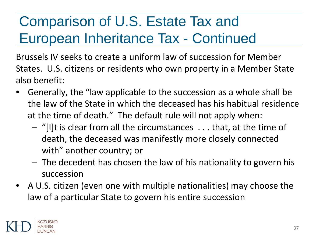# Comparison of U.S. Estate Tax and European Inheritance Tax - Continued

Brussels IV seeks to create a uniform law of succession for Member States. U.S. citizens or residents who own property in a Member State also benefit:

- Generally, the "law applicable to the succession as a whole shall be the law of the State in which the deceased has his habitual residence at the time of death." The default rule will not apply when:
	- "[I]t is clear from all the circumstances . . . that, at the time of death, the deceased was manifestly more closely connected with" another country; or
	- The decedent has chosen the law of his nationality to govern his succession
- A U.S. citizen (even one with multiple nationalities) may choose the law of a particular State to govern his entire succession

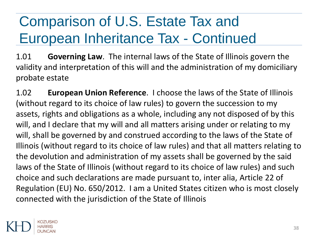# Comparison of U.S. Estate Tax and European Inheritance Tax - Continued

1.01 **Governing Law**. The internal laws of the State of Illinois govern the validity and interpretation of this will and the administration of my domiciliary probate estate

1.02 **European Union Reference**. I choose the laws of the State of Illinois (without regard to its choice of law rules) to govern the succession to my assets, rights and obligations as a whole, including any not disposed of by this will, and I declare that my will and all matters arising under or relating to my will, shall be governed by and construed according to the laws of the State of Illinois (without regard to its choice of law rules) and that all matters relating to the devolution and administration of my assets shall be governed by the said laws of the State of Illinois (without regard to its choice of law rules) and such choice and such declarations are made pursuant to, inter alia, Article 22 of Regulation (EU) No. 650/2012. I am a United States citizen who is most closely connected with the jurisdiction of the State of Illinois

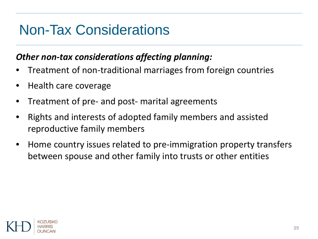#### Non-Tax Considerations

#### *Other non-tax considerations affecting planning:*

- Treatment of non-traditional marriages from foreign countries
- Health care coverage
- Treatment of pre- and post- marital agreements
- Rights and interests of adopted family members and assisted reproductive family members
- Home country issues related to pre-immigration property transfers between spouse and other family into trusts or other entities

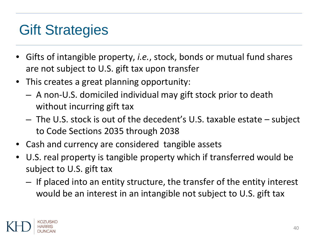#### Gift Strategies

- Gifts of intangible property, *i.e.*, stock, bonds or mutual fund shares are not subject to U.S. gift tax upon transfer
- This creates a great planning opportunity:
	- A non-U.S. domiciled individual may gift stock prior to death without incurring gift tax
	- The U.S. stock is out of the decedent's U.S. taxable estate subject to Code Sections 2035 through 2038
- Cash and currency are considered tangible assets
- U.S. real property is tangible property which if transferred would be subject to U.S. gift tax
	- If placed into an entity structure, the transfer of the entity interest would be an interest in an intangible not subject to U.S. gift tax

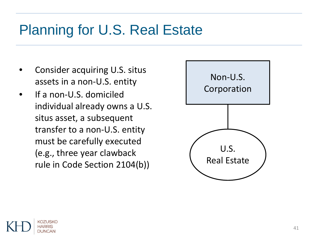#### Planning for U.S. Real Estate

- Consider acquiring U.S. situs assets in a non-U.S. entity
- If a non-U.S. domiciled individual already owns a U.S. situs asset, a subsequent transfer to a non-U.S. entity must be carefully executed (e.g., three year clawback rule in Code Section 2104(b))



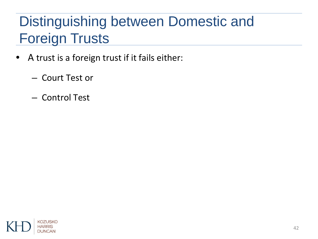# Distinguishing between Domestic and Foreign Trusts

- A trust is a foreign trust if it fails either:
	- Court Test or
	- Control Test

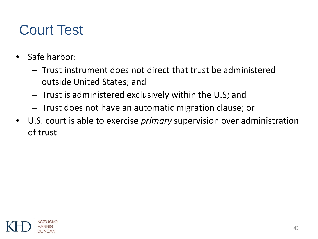### Court Test

- Safe harbor:
	- Trust instrument does not direct that trust be administered outside United States; and
	- Trust is administered exclusively within the U.S; and
	- Trust does not have an automatic migration clause; or
- U.S. court is able to exercise *primary* supervision over administration of trust

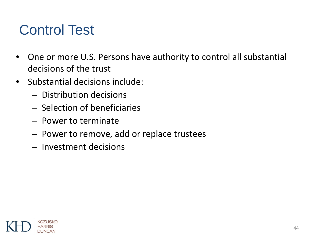#### Control Test

- One or more U.S. Persons have authority to control all substantial decisions of the trust
- Substantial decisions include:
	- Distribution decisions
	- Selection of beneficiaries
	- Power to terminate
	- Power to remove, add or replace trustees
	- Investment decisions

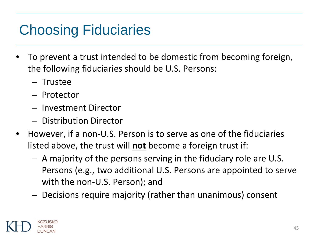## Choosing Fiduciaries

- To prevent a trust intended to be domestic from becoming foreign, the following fiduciaries should be U.S. Persons:
	- Trustee
	- Protector
	- Investment Director
	- Distribution Director
- However, if a non-U.S. Person is to serve as one of the fiduciaries listed above, the trust will **not** become a foreign trust if:
	- A majority of the persons serving in the fiduciary role are U.S. Persons (e.g., two additional U.S. Persons are appointed to serve with the non-U.S. Person); and
	- Decisions require majority (rather than unanimous) consent

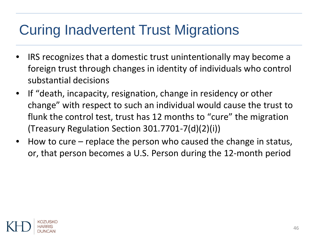### Curing Inadvertent Trust Migrations

- IRS recognizes that a domestic trust unintentionally may become a foreign trust through changes in identity of individuals who control substantial decisions
- If "death, incapacity, resignation, change in residency or other change" with respect to such an individual would cause the trust to flunk the control test, trust has 12 months to "cure" the migration (Treasury Regulation Section 301.7701-7(d)(2)(i))
- How to cure replace the person who caused the change in status, or, that person becomes a U.S. Person during the 12-month period

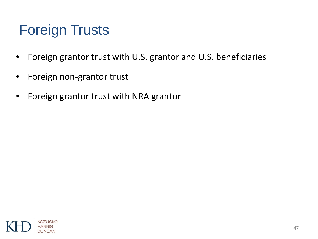# Foreign Trusts

- Foreign grantor trust with U.S. grantor and U.S. beneficiaries
- Foreign non-grantor trust
- Foreign grantor trust with NRA grantor

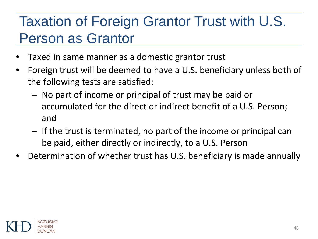## Taxation of Foreign Grantor Trust with U.S. Person as Grantor

- Taxed in same manner as a domestic grantor trust
- Foreign trust will be deemed to have a U.S. beneficiary unless both of the following tests are satisfied:
	- No part of income or principal of trust may be paid or accumulated for the direct or indirect benefit of a U.S. Person; and
	- If the trust is terminated, no part of the income or principal can be paid, either directly or indirectly, to a U.S. Person
- Determination of whether trust has U.S. beneficiary is made annually

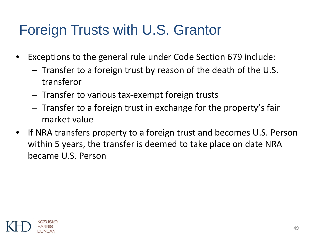# Foreign Trusts with U.S. Grantor

- Exceptions to the general rule under Code Section 679 include:
	- Transfer to a foreign trust by reason of the death of the U.S. transferor
	- Transfer to various tax-exempt foreign trusts
	- Transfer to a foreign trust in exchange for the property's fair market value
- If NRA transfers property to a foreign trust and becomes U.S. Person within 5 years, the transfer is deemed to take place on date NRA became U.S. Person

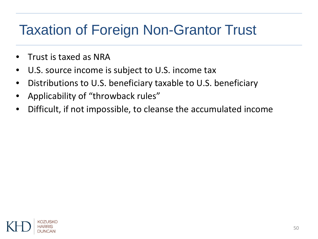### Taxation of Foreign Non-Grantor Trust

- Trust is taxed as NRA
- U.S. source income is subject to U.S. income tax
- Distributions to U.S. beneficiary taxable to U.S. beneficiary
- Applicability of "throwback rules"
- Difficult, if not impossible, to cleanse the accumulated income

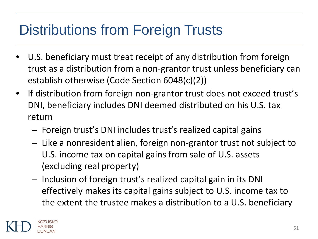# Distributions from Foreign Trusts

- U.S. beneficiary must treat receipt of any distribution from foreign trust as a distribution from a non-grantor trust unless beneficiary can establish otherwise (Code Section 6048(c)(2))
- If distribution from foreign non-grantor trust does not exceed trust's DNI, beneficiary includes DNI deemed distributed on his U.S. tax return
	- Foreign trust's DNI includes trust's realized capital gains
	- Like a nonresident alien, foreign non-grantor trust not subject to U.S. income tax on capital gains from sale of U.S. assets (excluding real property)
	- Inclusion of foreign trust's realized capital gain in its DNI effectively makes its capital gains subject to U.S. income tax to the extent the trustee makes a distribution to a U.S. beneficiary

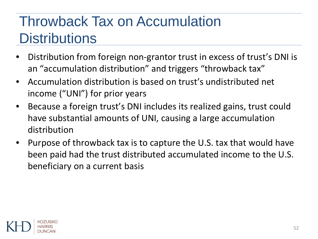# Throwback Tax on Accumulation **Distributions**

- Distribution from foreign non-grantor trust in excess of trust's DNI is an "accumulation distribution" and triggers "throwback tax"
- Accumulation distribution is based on trust's undistributed net income ("UNI") for prior years
- Because a foreign trust's DNI includes its realized gains, trust could have substantial amounts of UNI, causing a large accumulation distribution
- Purpose of throwback tax is to capture the U.S. tax that would have been paid had the trust distributed accumulated income to the U.S. beneficiary on a current basis

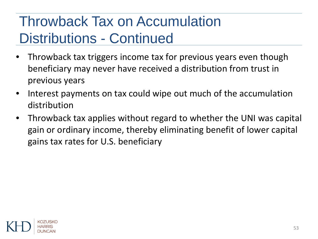# Throwback Tax on Accumulation Distributions - Continued

- Throwback tax triggers income tax for previous years even though beneficiary may never have received a distribution from trust in previous years
- Interest payments on tax could wipe out much of the accumulation distribution
- Throwback tax applies without regard to whether the UNI was capital gain or ordinary income, thereby eliminating benefit of lower capital gains tax rates for U.S. beneficiary

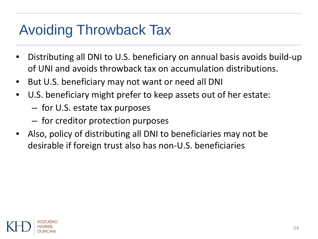# Avoiding Throwback Tax

- Distributing all DNI to U.S. beneficiary on annual basis avoids build-up of UNI and avoids throwback tax on accumulation distributions.
- But U.S. beneficiary may not want or need all DNI
- U.S. beneficiary might prefer to keep assets out of her estate:
	- for U.S. estate tax purposes
	- for creditor protection purposes
- Also, policy of distributing all DNI to beneficiaries may not be desirable if foreign trust also has non-U.S. beneficiaries

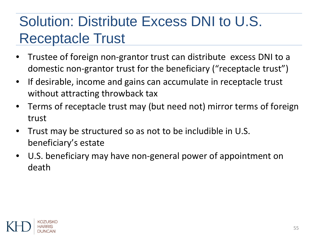# Solution: Distribute Excess DNI to U.S. Receptacle Trust

- Trustee of foreign non-grantor trust can distribute excess DNI to a domestic non-grantor trust for the beneficiary ("receptacle trust")
- If desirable, income and gains can accumulate in receptacle trust without attracting throwback tax
- Terms of receptacle trust may (but need not) mirror terms of foreign trust
- Trust may be structured so as not to be includible in U.S. beneficiary's estate
- U.S. beneficiary may have non-general power of appointment on death

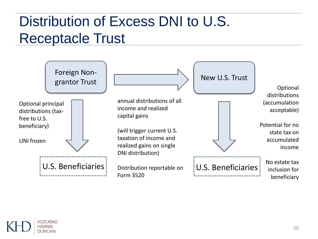## Distribution of Excess DNI to U.S. Receptacle Trust



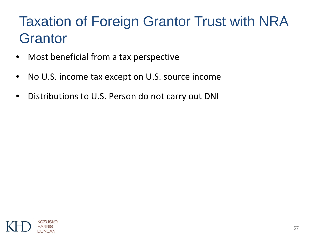## Taxation of Foreign Grantor Trust with NRA **Grantor**

- Most beneficial from a tax perspective
- No U.S. income tax except on U.S. source income
- Distributions to U.S. Person do not carry out DNI

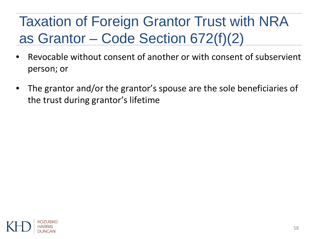# Taxation of Foreign Grantor Trust with NRA as Grantor – Code Section 672(f)(2)

- Revocable without consent of another or with consent of subservient person; or
- The grantor and/or the grantor's spouse are the sole beneficiaries of the trust during grantor's lifetime

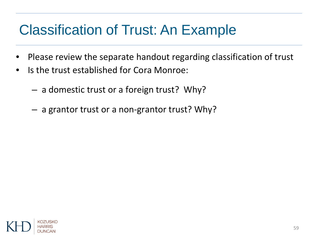### Classification of Trust: An Example

- Please review the separate handout regarding classification of trust
- Is the trust established for Cora Monroe:
	- a domestic trust or a foreign trust? Why?
	- a grantor trust or a non-grantor trust? Why?

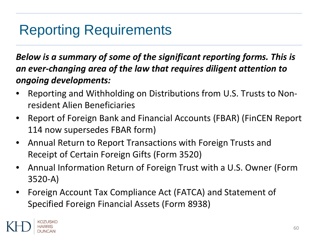### Reporting Requirements

*Below is a summary of some of the significant reporting forms. This is an ever-changing area of the law that requires diligent attention to ongoing developments:*

- Reporting and Withholding on Distributions from U.S. Trusts to Nonresident Alien Beneficiaries
- Report of Foreign Bank and Financial Accounts (FBAR) (FinCEN Report 114 now supersedes FBAR form)
- Annual Return to Report Transactions with Foreign Trusts and Receipt of Certain Foreign Gifts (Form 3520)
- Annual Information Return of Foreign Trust with a U.S. Owner (Form 3520-A)
- Foreign Account Tax Compliance Act (FATCA) and Statement of Specified Foreign Financial Assets (Form 8938)

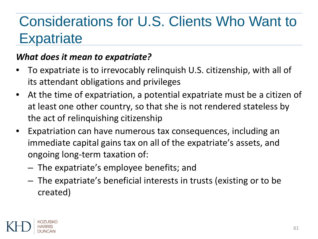## Considerations for U.S. Clients Who Want to **Expatriate**

#### *What does it mean to expatriate?*

- To expatriate is to irrevocably relinquish U.S. citizenship, with all of its attendant obligations and privileges
- At the time of expatriation, a potential expatriate must be a citizen of at least one other country, so that she is not rendered stateless by the act of relinquishing citizenship
- Expatriation can have numerous tax consequences, including an immediate capital gains tax on all of the expatriate's assets, and ongoing long-term taxation of:
	- The expatriate's employee benefits; and
	- The expatriate's beneficial interests in trusts (existing or to be created)

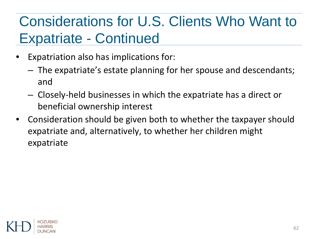## Considerations for U.S. Clients Who Want to Expatriate - Continued

- Expatriation also has implications for:
	- The expatriate's estate planning for her spouse and descendants; and
	- Closely-held businesses in which the expatriate has a direct or beneficial ownership interest
- Consideration should be given both to whether the taxpayer should expatriate and, alternatively, to whether her children might expatriate

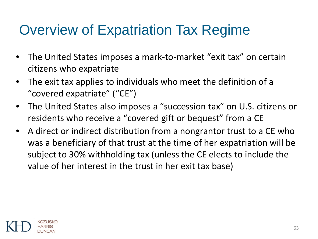#### Overview of Expatriation Tax Regime

- The United States imposes a mark-to-market "exit tax" on certain citizens who expatriate
- The exit tax applies to individuals who meet the definition of a "covered expatriate" ("CE")
- The United States also imposes a "succession tax" on U.S. citizens or residents who receive a "covered gift or bequest" from a CE
- A direct or indirect distribution from a nongrantor trust to a CE who was a beneficiary of that trust at the time of her expatriation will be subject to 30% withholding tax (unless the CE elects to include the value of her interest in the trust in her exit tax base)

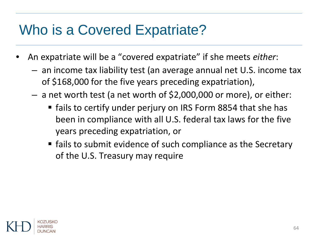### Who is a Covered Expatriate?

- An expatriate will be a "covered expatriate" if she meets *either*:
	- an income tax liability test (an average annual net U.S. income tax of \$168,000 for the five years preceding expatriation),
	- a net worth test (a net worth of \$2,000,000 or more), or either:
		- **fails to certify under perjury on IRS Form 8854 that she has** been in compliance with all U.S. federal tax laws for the five years preceding expatriation, or
		- **F** fails to submit evidence of such compliance as the Secretary of the U.S. Treasury may require

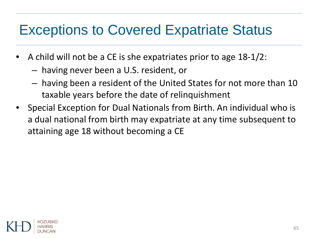#### Exceptions to Covered Expatriate Status

- A child will not be a CE is she expatriates prior to age 18-1/2:
	- having never been a U.S. resident, or
	- having been a resident of the United States for not more than 10 taxable years before the date of relinquishment
- Special Exception for Dual Nationals from Birth. An individual who is a dual national from birth may expatriate at any time subsequent to attaining age 18 without becoming a CE

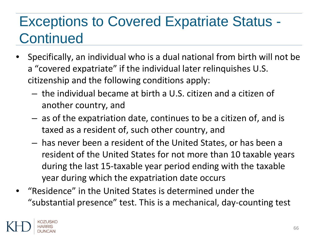# Exceptions to Covered Expatriate Status - **Continued**

- Specifically, an individual who is a dual national from birth will not be a "covered expatriate" if the individual later relinquishes U.S. citizenship and the following conditions apply:
	- the individual became at birth a U.S. citizen and a citizen of another country, and
	- as of the expatriation date, continues to be a citizen of, and is taxed as a resident of, such other country, and
	- has never been a resident of the United States, or has been a resident of the United States for not more than 10 taxable years during the last 15-taxable year period ending with the taxable year during which the expatriation date occurs
- "Residence" in the United States is determined under the "substantial presence" test. This is a mechanical, day-counting test

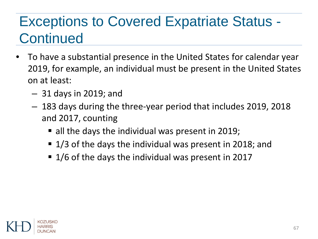# Exceptions to Covered Expatriate Status - **Continued**

- To have a substantial presence in the United States for calendar year 2019, for example, an individual must be present in the United States on at least:
	- 31 days in 2019; and
	- 183 days during the three-year period that includes 2019, 2018 and 2017, counting
		- all the days the individual was present in 2019;
		- 1/3 of the days the individual was present in 2018; and
		- 1/6 of the days the individual was present in 2017

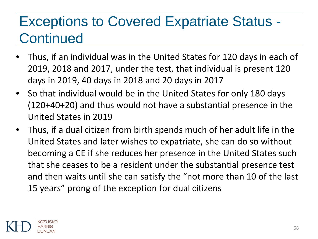## Exceptions to Covered Expatriate Status - **Continued**

- Thus, if an individual was in the United States for 120 days in each of 2019, 2018 and 2017, under the test, that individual is present 120 days in 2019, 40 days in 2018 and 20 days in 2017
- So that individual would be in the United States for only 180 days (120+40+20) and thus would not have a substantial presence in the United States in 2019
- Thus, if a dual citizen from birth spends much of her adult life in the United States and later wishes to expatriate, she can do so without becoming a CE if she reduces her presence in the United States such that she ceases to be a resident under the substantial presence test and then waits until she can satisfy the "not more than 10 of the last 15 years" prong of the exception for dual citizens

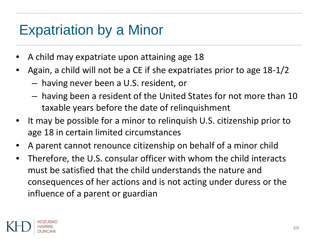#### Expatriation by a Minor

- A child may expatriate upon attaining age 18
- Again, a child will not be a CE if she expatriates prior to age 18-1/2
	- having never been a U.S. resident, or
	- having been a resident of the United States for not more than 10 taxable years before the date of relinquishment
- It may be possible for a minor to relinguish U.S. citizenship prior to age 18 in certain limited circumstances
- A parent cannot renounce citizenship on behalf of a minor child
- Therefore, the U.S. consular officer with whom the child interacts must be satisfied that the child understands the nature and consequences of her actions and is not acting under duress or the influence of a parent or guardian

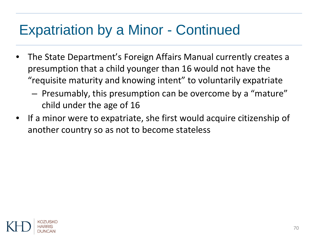#### Expatriation by a Minor - Continued

- The State Department's Foreign Affairs Manual currently creates a presumption that a child younger than 16 would not have the "requisite maturity and knowing intent" to voluntarily expatriate
	- Presumably, this presumption can be overcome by a "mature" child under the age of 16
- If a minor were to expatriate, she first would acquire citizenship of another country so as not to become stateless

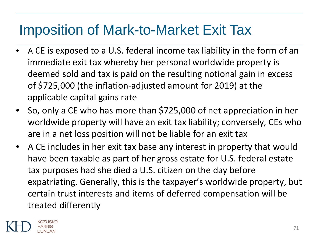#### Imposition of Mark-to-Market Exit Tax

- A CE is exposed to a U.S. federal income tax liability in the form of an immediate exit tax whereby her personal worldwide property is deemed sold and tax is paid on the resulting notional gain in excess of \$725,000 (the inflation-adjusted amount for 2019) at the applicable capital gains rate
- So, only a CE who has more than \$725,000 of net appreciation in her worldwide property will have an exit tax liability; conversely, CEs who are in a net loss position will not be liable for an exit tax
- A CE includes in her exit tax base any interest in property that would have been taxable as part of her gross estate for U.S. federal estate tax purposes had she died a U.S. citizen on the day before expatriating. Generally, this is the taxpayer's worldwide property, but certain trust interests and items of deferred compensation will be treated differently

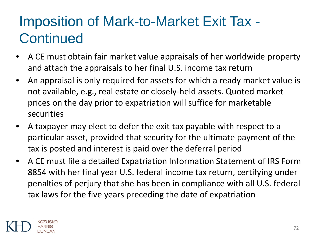# Imposition of Mark-to-Market Exit Tax - **Continued**

- A CE must obtain fair market value appraisals of her worldwide property and attach the appraisals to her final U.S. income tax return
- An appraisal is only required for assets for which a ready market value is not available, e.g., real estate or closely-held assets. Quoted market prices on the day prior to expatriation will suffice for marketable securities
- A taxpayer may elect to defer the exit tax payable with respect to a particular asset, provided that security for the ultimate payment of the tax is posted and interest is paid over the deferral period
- A CE must file a detailed Expatriation Information Statement of IRS Form 8854 with her final year U.S. federal income tax return, certifying under penalties of perjury that she has been in compliance with all U.S. federal tax laws for the five years preceding the date of expatriation

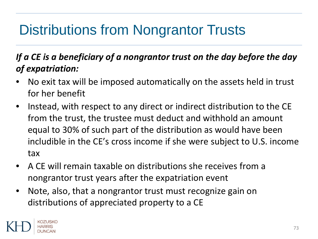# Distributions from Nongrantor Trusts

#### *If a CE is a beneficiary of a nongrantor trust on the day before the day of expatriation:*

- No exit tax will be imposed automatically on the assets held in trust for her benefit
- Instead, with respect to any direct or indirect distribution to the CE from the trust, the trustee must deduct and withhold an amount equal to 30% of such part of the distribution as would have been includible in the CE's cross income if she were subject to U.S. income tax
- A CE will remain taxable on distributions she receives from a nongrantor trust years after the expatriation event
- Note, also, that a nongrantor trust must recognize gain on distributions of appreciated property to a CE

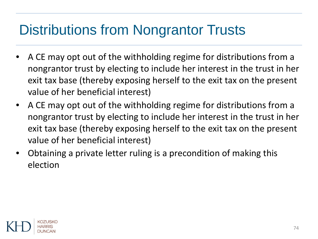## Distributions from Nongrantor Trusts

- A CE may opt out of the withholding regime for distributions from a nongrantor trust by electing to include her interest in the trust in her exit tax base (thereby exposing herself to the exit tax on the present value of her beneficial interest)
- A CE may opt out of the withholding regime for distributions from a nongrantor trust by electing to include her interest in the trust in her exit tax base (thereby exposing herself to the exit tax on the present value of her beneficial interest)
- Obtaining a private letter ruling is a precondition of making this election

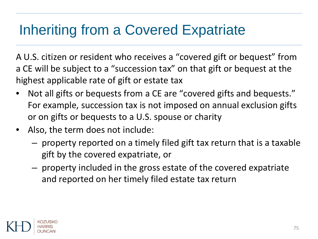## Inheriting from a Covered Expatriate

A U.S. citizen or resident who receives a "covered gift or bequest" from a CE will be subject to a "succession tax" on that gift or bequest at the highest applicable rate of gift or estate tax

- Not all gifts or bequests from a CE are "covered gifts and bequests." For example, succession tax is not imposed on annual exclusion gifts or on gifts or bequests to a U.S. spouse or charity
- Also, the term does not include:
	- property reported on a timely filed gift tax return that is a taxable gift by the covered expatriate, or
	- property included in the gross estate of the covered expatriate and reported on her timely filed estate tax return

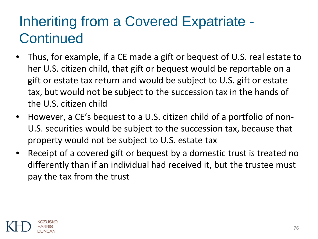## Inheriting from a Covered Expatriate - **Continued**

- Thus, for example, if a CE made a gift or bequest of U.S. real estate to her U.S. citizen child, that gift or bequest would be reportable on a gift or estate tax return and would be subject to U.S. gift or estate tax, but would not be subject to the succession tax in the hands of the U.S. citizen child
- However, a CE's bequest to a U.S. citizen child of a portfolio of non-U.S. securities would be subject to the succession tax, because that property would not be subject to U.S. estate tax
- Receipt of a covered gift or bequest by a domestic trust is treated no differently than if an individual had received it, but the trustee must pay the tax from the trust

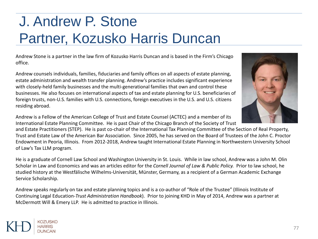## J. Andrew P. Stone Partner, Kozusko Harris Duncan

Andrew Stone is a partner in the law firm of Kozusko Harris Duncan and is based in the Firm's Chicago office.

Andrew counsels individuals, families, fiduciaries and family offices on all aspects of estate planning, estate administration and wealth transfer planning. Andrew's practice includes significant experience with closely-held family businesses and the multi-generational families that own and control these businesses. He also focuses on international aspects of tax and estate planning for U.S. beneficiaries of foreign trusts, non-U.S. families with U.S. connections, foreign executives in the U.S. and U.S. citizens residing abroad.

Andrew is a Fellow of the American College of Trust and Estate Counsel (ACTEC) and a member of its International Estate Planning Committee. He is past Chair of the Chicago Branch of the Society of Trust

KOZUSKO

and Estate Practitioners (STEP). He is past co-chair of the International Tax Planning Committee of the Section of Real Property, Trust and Estate Law of the American Bar Association. Since 2005, he has served on the Board of Trustees of the John C. Proctor Endowment in Peoria, Illinois. From 2012-2018, Andrew taught International Estate Planning in Northwestern University School of Law's Tax LLM program.

He is a graduate of Cornell Law School and Washington University in St. Louis. While in law school, Andrew was a John M. Olin Scholar in Law and Economics and was an articles editor for the *Cornell Journal of Law & Public Policy.* Prior to law school, he studied history at the Westfälische Wilhelms-Universität, Münster, Germany, as a recipient of a German Academic Exchange Service Scholarship.

Andrew speaks regularly on tax and estate planning topics and is a co-author of "Role of the Trustee" (Illinois Institute of Continuing Legal Education-*Trust Administration Handbook*). Prior to joining KHD in May of 2014, Andrew was a partner at McDermott Will & Emery LLP. He is admitted to practice in Illinois.

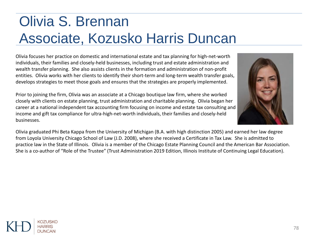## Olivia S. Brennan Associate, Kozusko Harris Duncan

Olivia focuses her practice on domestic and international estate and tax planning for high-net-worth individuals, their families and closely-held businesses, including trust and estate administration and wealth transfer planning. She also assists clients in the formation and administration of non-profit entities. Olivia works with her clients to identify their short-term and long-term wealth transfer goals, develops strategies to meet those goals and ensures that the strategies are properly implemented.

Prior to joining the firm, Olivia was an associate at a Chicago boutique law firm, where she worked closely with clients on estate planning, trust administration and charitable planning. Olivia began her career at a national independent tax accounting firm focusing on income and estate tax consulting and income and gift tax compliance for ultra-high-net-worth individuals, their families and closely-held businesses.